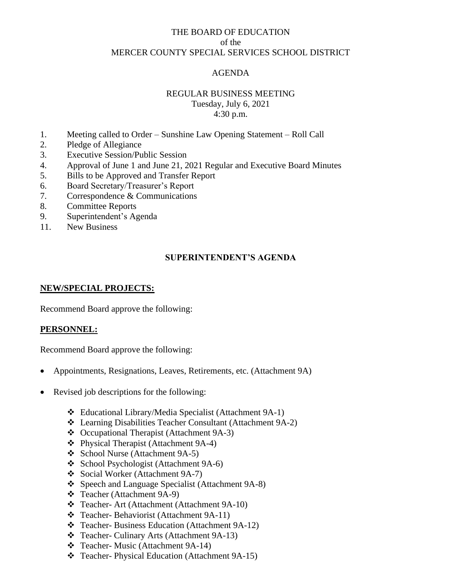# THE BOARD OF EDUCATION of the MERCER COUNTY SPECIAL SERVICES SCHOOL DISTRICT

# AGENDA

## REGULAR BUSINESS MEETING

Tuesday, July 6, 2021 4:30 p.m.

- 1. Meeting called to Order Sunshine Law Opening Statement Roll Call
- 2. Pledge of Allegiance
- 3. Executive Session/Public Session
- 4. Approval of June 1 and June 21, 2021 Regular and Executive Board Minutes
- 5. Bills to be Approved and Transfer Report
- 6. Board Secretary/Treasurer's Report
- 7. Correspondence & Communications
- 8. Committee Reports
- 9. Superintendent's Agenda
- 11. New Business

# **SUPERINTENDENT'S AGENDA**

## **NEW/SPECIAL PROJECTS:**

Recommend Board approve the following:

## **PERSONNEL:**

Recommend Board approve the following:

- Appointments, Resignations, Leaves, Retirements, etc. (Attachment 9A)
- Revised job descriptions for the following:
	- ❖ Educational Library/Media Specialist (Attachment 9A-1)
	- ❖ Learning Disabilities Teacher Consultant (Attachment 9A-2)
	- ❖ Occupational Therapist (Attachment 9A-3)
	- ❖ Physical Therapist (Attachment 9A-4)
	- ❖ School Nurse (Attachment 9A-5)
	- ❖ School Psychologist (Attachment 9A-6)
	- ❖ Social Worker (Attachment 9A-7)
	- ❖ Speech and Language Specialist (Attachment 9A-8)
	- ❖ Teacher (Attachment 9A-9)
	- ❖ Teacher- Art (Attachment (Attachment 9A-10)
	- ❖ Teacher- Behaviorist (Attachment 9A-11)
	- ❖ Teacher- Business Education (Attachment 9A-12)
	- ❖ Teacher- Culinary Arts (Attachment 9A-13)
	- ❖ Teacher- Music (Attachment 9A-14)
	- ❖ Teacher- Physical Education (Attachment 9A-15)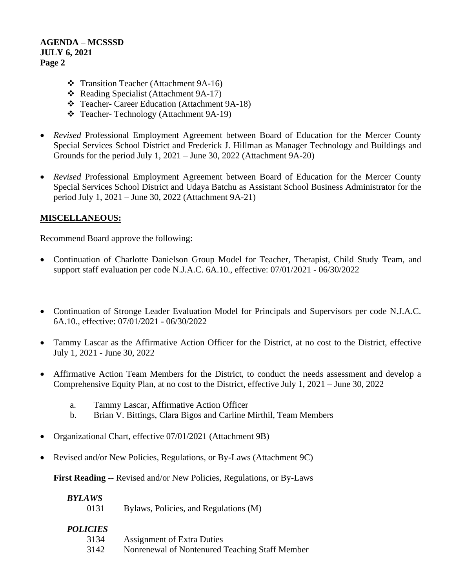- ❖ Transition Teacher (Attachment 9A-16)
- ❖ Reading Specialist (Attachment 9A-17)
- ❖ Teacher- Career Education (Attachment 9A-18)
- ❖ Teacher- Technology (Attachment 9A-19)
- *Revised* Professional Employment Agreement between Board of Education for the Mercer County Special Services School District and Frederick J. Hillman as Manager Technology and Buildings and Grounds for the period July 1, 2021 – June 30, 2022 (Attachment 9A-20)
- *Revised* Professional Employment Agreement between Board of Education for the Mercer County Special Services School District and Udaya Batchu as Assistant School Business Administrator for the period July 1, 2021 – June 30, 2022 (Attachment 9A-21)

## **MISCELLANEOUS:**

Recommend Board approve the following:

- Continuation of Charlotte Danielson Group Model for Teacher, Therapist, Child Study Team, and support staff evaluation per code N.J.A.C. 6A.10., effective: 07/01/2021 - 06/30/2022
- Continuation of Stronge Leader Evaluation Model for Principals and Supervisors per code N.J.A.C. 6A.10., effective: 07/01/2021 - 06/30/2022
- Tammy Lascar as the Affirmative Action Officer for the District, at no cost to the District, effective July 1, 2021 - June 30, 2022
- Affirmative Action Team Members for the District, to conduct the needs assessment and develop a Comprehensive Equity Plan, at no cost to the District, effective July 1, 2021 – June 30, 2022
	- a. Tammy Lascar, Affirmative Action Officer
	- b. Brian V. Bittings, Clara Bigos and Carline Mirthil, Team Members
- Organizational Chart, effective 07/01/2021 (Attachment 9B)
- Revised and/or New Policies, Regulations, or By-Laws (Attachment 9C)

**First Reading** -- Revised and/or New Policies, Regulations, or By-Laws

## *BYLAWS*

0131 Bylaws, Policies, and Regulations (M)

## *POLICIES*

- 3134 Assignment of Extra Duties
- 3142 Nonrenewal of Nontenured Teaching Staff Member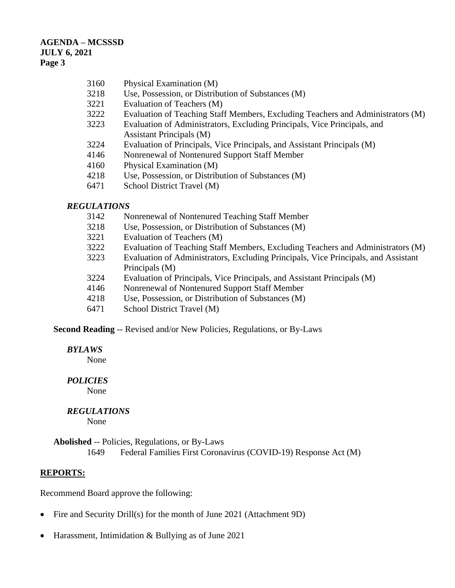| 3160 | Physical Examination (M) |  |
|------|--------------------------|--|
|      |                          |  |

- 3218 Use, Possession, or Distribution of Substances (M)
- 3221 Evaluation of Teachers (M)
- 3222 Evaluation of Teaching Staff Members, Excluding Teachers and Administrators (M)
- 3223 Evaluation of Administrators, Excluding Principals, Vice Principals, and Assistant Principals (M)
- 3224 Evaluation of Principals, Vice Principals, and Assistant Principals (M)
- 4146 Nonrenewal of Nontenured Support Staff Member
- 4160 Physical Examination (M)
- 4218 Use, Possession, or Distribution of Substances (M)
- 6471 School District Travel (M)

## *REGULATIONS*

- 3142 Nonrenewal of Nontenured Teaching Staff Member
- 3218 Use, Possession, or Distribution of Substances (M)
- 3221 Evaluation of Teachers (M)
- 3222 Evaluation of Teaching Staff Members, Excluding Teachers and Administrators (M)
- 3223 Evaluation of Administrators, Excluding Principals, Vice Principals, and Assistant Principals (M)
- 3224 Evaluation of Principals, Vice Principals, and Assistant Principals (M)
- 4146 Nonrenewal of Nontenured Support Staff Member
- 4218 Use, Possession, or Distribution of Substances (M)
- 6471 School District Travel (M)

**Second Reading** -- Revised and/or New Policies, Regulations, or By-Laws

#### *BYLAWS*

None

## *POLICIES*

None

## *REGULATIONS*

None

**Abolished** -- Policies, Regulations, or By-Laws 1649 Federal Families First Coronavirus (COVID-19) Response Act (M)

#### **REPORTS:**

Recommend Board approve the following:

- Fire and Security Drill(s) for the month of June 2021 (Attachment 9D)
- Harassment, Intimidation & Bullying as of June 2021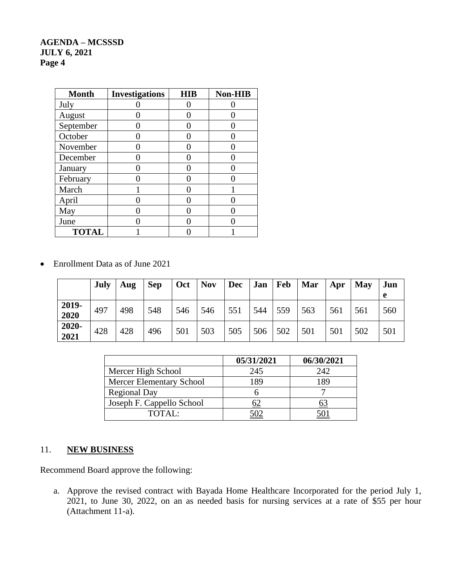| <b>Month</b> | <b>Investigations</b> | <b>HIB</b> | <b>Non-HIB</b> |
|--------------|-----------------------|------------|----------------|
| July         |                       |            |                |
| August       |                       |            |                |
| September    |                       |            |                |
| October      |                       |            |                |
| November     |                       |            |                |
| December     |                       |            |                |
| January      |                       |            |                |
| February     |                       |            |                |
| March        |                       |            |                |
| April        |                       |            |                |
| May          |                       |            |                |
| June         |                       |            |                |
| <b>TOTAL</b> |                       |            |                |

• Enrollment Data as of June 2021

|               | <b>July</b> | Aug | <b>Sep</b> | Oct | <b>Nov</b> | Dec | Jan Feb |     | Mar | Apr | May | Jun<br>e |
|---------------|-------------|-----|------------|-----|------------|-----|---------|-----|-----|-----|-----|----------|
| 2019-<br>2020 | 497         | 498 | 548        | 546 | 546        | 551 | 544     | 559 | 563 | 561 | 561 | 560      |
| 2020-<br>2021 | 428         | 428 | 496        | 501 | 503        | 505 | 506     | 502 | 501 | 501 | 502 | 501      |

|                                 | 05/31/2021 | 06/30/2021 |
|---------------------------------|------------|------------|
| Mercer High School              | 245        | 242        |
| <b>Mercer Elementary School</b> | 189        | 189        |
| <b>Regional Day</b>             |            |            |
| Joseph F. Cappello School       |            |            |
| TOTAL:                          |            |            |

# 11. **NEW BUSINESS**

Recommend Board approve the following:

a. Approve the revised contract with Bayada Home Healthcare Incorporated for the period July 1, 2021, to June 30, 2022, on an as needed basis for nursing services at a rate of \$55 per hour (Attachment 11-a).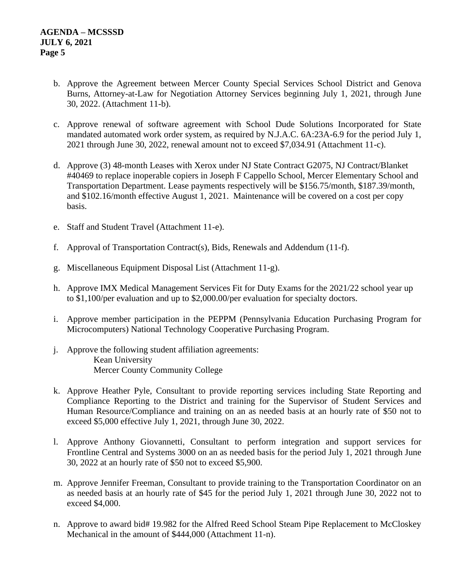- b. Approve the Agreement between Mercer County Special Services School District and Genova Burns, Attorney-at-Law for Negotiation Attorney Services beginning July 1, 2021, through June 30, 2022. (Attachment 11-b).
- c. Approve renewal of software agreement with School Dude Solutions Incorporated for State mandated automated work order system, as required by N.J.A.C. 6A:23A-6.9 for the period July 1, 2021 through June 30, 2022, renewal amount not to exceed \$7,034.91 (Attachment 11-c).
- d. Approve (3) 48-month Leases with Xerox under NJ State Contract G2075, NJ Contract/Blanket #40469 to replace inoperable copiers in Joseph F Cappello School, Mercer Elementary School and Transportation Department. Lease payments respectively will be \$156.75/month, \$187.39/month, and \$102.16/month effective August 1, 2021. Maintenance will be covered on a cost per copy basis.
- e. Staff and Student Travel (Attachment 11-e).
- f. Approval of Transportation Contract(s), Bids, Renewals and Addendum (11-f).
- g. Miscellaneous Equipment Disposal List (Attachment 11-g).
- h. Approve IMX Medical Management Services Fit for Duty Exams for the 2021/22 school year up to \$1,100/per evaluation and up to \$2,000.00/per evaluation for specialty doctors.
- i. Approve member participation in the PEPPM (Pennsylvania Education Purchasing Program for Microcomputers) National Technology Cooperative Purchasing Program.
- j. Approve the following student affiliation agreements: Kean University Mercer County Community College
- k. Approve Heather Pyle, Consultant to provide reporting services including State Reporting and Compliance Reporting to the District and training for the Supervisor of Student Services and Human Resource/Compliance and training on an as needed basis at an hourly rate of \$50 not to exceed \$5,000 effective July 1, 2021, through June 30, 2022.
- l. Approve Anthony Giovannetti, Consultant to perform integration and support services for Frontline Central and Systems 3000 on an as needed basis for the period July 1, 2021 through June 30, 2022 at an hourly rate of \$50 not to exceed \$5,900.
- m. Approve Jennifer Freeman, Consultant to provide training to the Transportation Coordinator on an as needed basis at an hourly rate of \$45 for the period July 1, 2021 through June 30, 2022 not to exceed \$4,000.
- n. Approve to award bid# 19.982 for the Alfred Reed School Steam Pipe Replacement to McCloskey Mechanical in the amount of \$444,000 (Attachment 11-n).